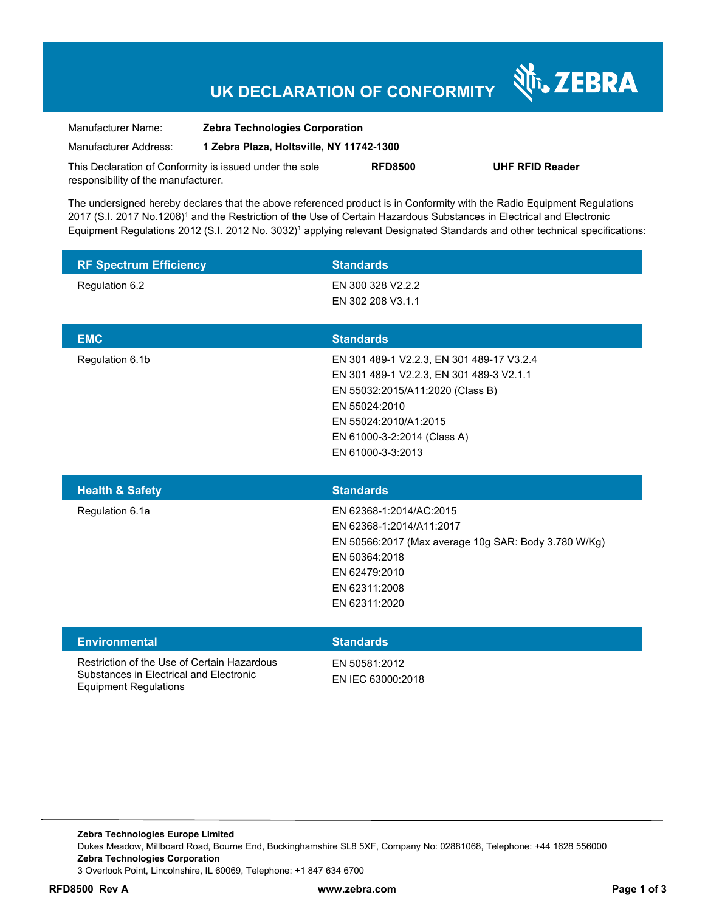## **UK DECLARATION OF CONFORMITY**

Nr. ZEBRA

| Manufacturer Name:                                      | <b>Zebra Technologies Corporation</b>    |                |                        |
|---------------------------------------------------------|------------------------------------------|----------------|------------------------|
| Manufacturer Address:                                   | 1 Zebra Plaza, Holtsville, NY 11742-1300 |                |                        |
| This Declaration of Conformity is issued under the sole |                                          | <b>RFD8500</b> | <b>UHF RFID Reader</b> |
| responsibility of the manufacturer.                     |                                          |                |                        |

The undersigned hereby declares that the above referenced product is in Conformity with the Radio Equipment Regulations 2017 (S.I. 2017 No.1206)<sup>1</sup> and the Restriction of the Use of Certain Hazardous Substances in Electrical and Electronic Equipment Regulations 2012 (S.I. 2012 No. 3032)<sup>1</sup> applying relevant Designated Standards and other technical specifications:

| <b>RF Spectrum Efficiency</b> | <b>Standards</b>                                                                                                                                                                                                        |
|-------------------------------|-------------------------------------------------------------------------------------------------------------------------------------------------------------------------------------------------------------------------|
| Regulation 6.2                | EN 300 328 V2.2.2<br>EN 302 208 V3.1.1                                                                                                                                                                                  |
| <b>EMC</b>                    | <b>Standards</b>                                                                                                                                                                                                        |
| Regulation 6.1b               | EN 301 489-1 V2.2.3, EN 301 489-17 V3.2.4<br>EN 301 489-1 V2.2.3, EN 301 489-3 V2.1.1<br>EN 55032:2015/A11:2020 (Class B)<br>EN 55024:2010<br>EN 55024:2010/A1:2015<br>EN 61000-3-2:2014 (Class A)<br>EN 61000-3-3:2013 |
| <b>Health &amp; Safety</b>    | <b>Standards</b>                                                                                                                                                                                                        |
| Regulation 6.1a               | EN 62368-1:2014/AC:2015<br>EN 62368-1:2014/A11:2017<br>EN 50566:2017 (Max average 10g SAR: Body 3.780 W/Kg)<br>EN 50364:2018<br>EN 62479:2010<br>EN 62311:2008<br>EN 62311:2020                                         |
|                               |                                                                                                                                                                                                                         |
| <b>Environmental</b>          | <b>Standards</b>                                                                                                                                                                                                        |

**Zebra Technologies Europe Limited**  Dukes Meadow, Millboard Road, Bourne End, Buckinghamshire SL8 5XF, Company No: 02881068, Telephone: +44 1628 556000 **Zebra Technologies Corporation**  3 Overlook Point, Lincolnshire, IL 60069, Telephone: +1 847 634 6700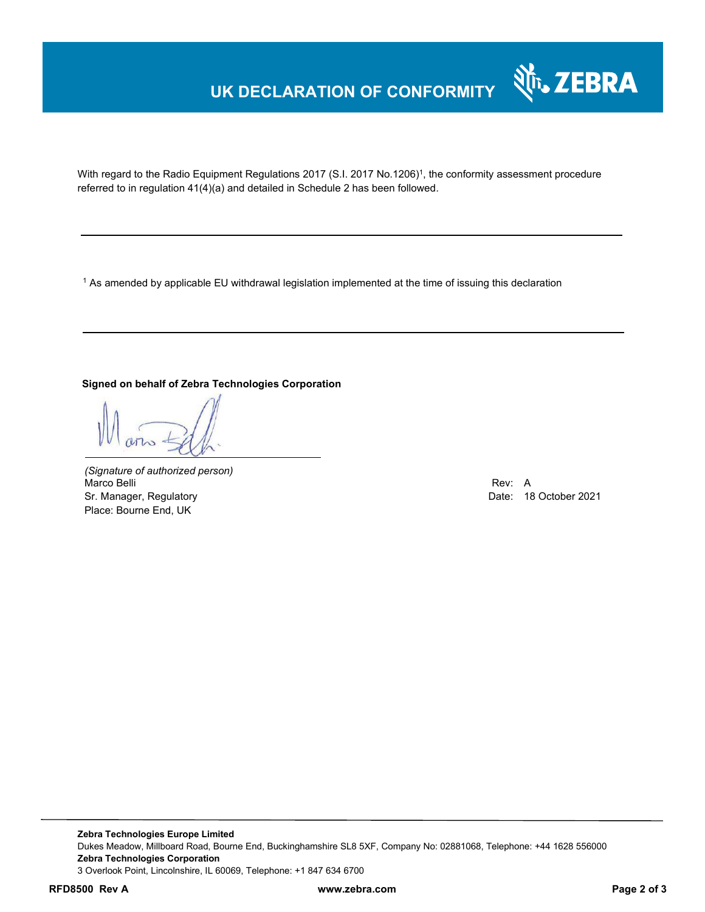## **UK DECLARATION OF CONFORMITY**



With regard to the Radio Equipment Regulations 2017 (S.I. 2017 No.1206)<sup>1</sup>, the conformity assessment procedure referred to in regulation 41(4)(a) and detailed in Schedule 2 has been followed.

 $^{\rm 1}$  As amended by applicable EU withdrawal legislation implemented at the time of issuing this declaration

#### **Signed on behalf of Zebra Technologies Corporation**

*(Signature of authorized person)* Marco Belli Rev: A Alexander Communication of the Communication of the Communication of the Communication of the Communication of the Communication of the Communication of the Communication of the Communication of the Comm Sr. Manager, Regulatory Date: 18 October 2021 Place: Bourne End, UK